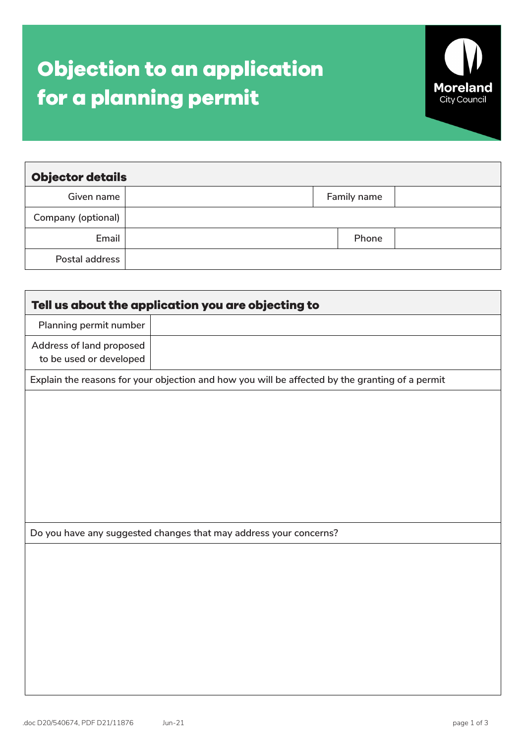## **Objection to an application for a planning permit**



| <b>Objector details</b> |             |  |  |  |  |  |  |
|-------------------------|-------------|--|--|--|--|--|--|
| Given name              | Family name |  |  |  |  |  |  |
| Company (optional)      |             |  |  |  |  |  |  |
| Email                   | Phone       |  |  |  |  |  |  |
| Postal address          |             |  |  |  |  |  |  |

| Tell us about the application you are objecting to                                              |                                                                   |  |  |  |
|-------------------------------------------------------------------------------------------------|-------------------------------------------------------------------|--|--|--|
| Planning permit number                                                                          |                                                                   |  |  |  |
| Address of land proposed<br>to be used or developed                                             |                                                                   |  |  |  |
| Explain the reasons for your objection and how you will be affected by the granting of a permit |                                                                   |  |  |  |
|                                                                                                 |                                                                   |  |  |  |
|                                                                                                 |                                                                   |  |  |  |
|                                                                                                 |                                                                   |  |  |  |
|                                                                                                 |                                                                   |  |  |  |
|                                                                                                 |                                                                   |  |  |  |
|                                                                                                 |                                                                   |  |  |  |
|                                                                                                 | Do you have any suggested changes that may address your concerns? |  |  |  |
|                                                                                                 |                                                                   |  |  |  |
|                                                                                                 |                                                                   |  |  |  |
|                                                                                                 |                                                                   |  |  |  |
|                                                                                                 |                                                                   |  |  |  |
|                                                                                                 |                                                                   |  |  |  |
|                                                                                                 |                                                                   |  |  |  |
|                                                                                                 |                                                                   |  |  |  |
|                                                                                                 |                                                                   |  |  |  |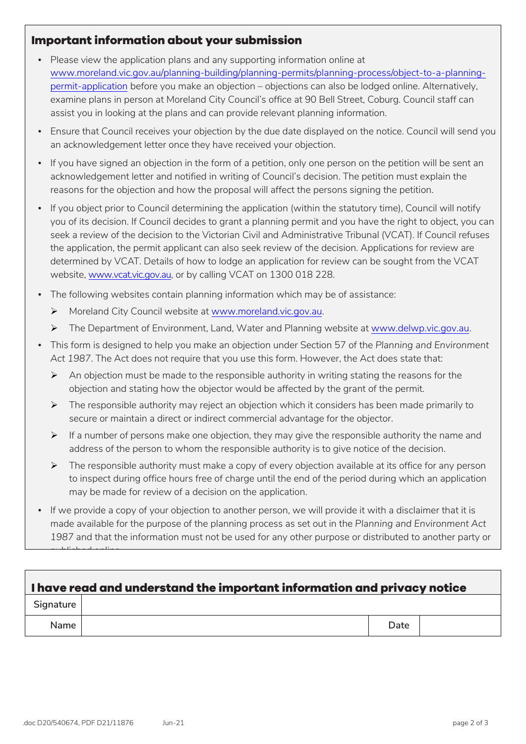## **Important information about your submission**

- Please view the application plans and any supporting information online at [www.moreland.vic.gov.au/planning-building/planning-permits/planning-process/object-to-a-planning](http://www.moreland.vic.gov.au/planning-building/planning-permits/planning-process/object-to-a-planning-permit-application/)[permit-application](http://www.moreland.vic.gov.au/planning-building/planning-permits/planning-process/object-to-a-planning-permit-application/) before you make an objection – objections can also be lodged online. Alternatively, examine plans in person at Moreland City Council's office at 90 Bell Street, Coburg. Council staff can assist you in looking at the plans and can provide relevant planning information.
- Ensure that Council receives your objection by the due date displayed on the notice. Council will send you an acknowledgement letter once they have received your objection.
- If you have signed an objection in the form of a petition, only one person on the petition will be sent an acknowledgement letter and notified in writing of Council's decision. The petition must explain the reasons for the objection and how the proposal will affect the persons signing the petition.
- If you object prior to Council determining the application (within the statutory time), Council will notify you of its decision. If Council decides to grant a planning permit and you have the right to object, you can seek a review of the decision to the Victorian Civil and Administrative Tribunal (VCAT). If Council refuses the application, the permit applicant can also seek review of the decision. Applications for review are determined by VCAT. Details of how to lodge an application for review can be sought from the VCAT website, [www.vcat.vic.gov.au,](https://www.vcat.vic.gov.au/) or by calling VCAT on 1300 018 228.
- The following websites contain planning information which may be of assistance:
	- Moreland City Council website at [www.moreland.vic.gov.au.](https://www.moreland.vic.gov.au/)
	- The Department of Environment, Land, Water and Planning website at [www.delwp.vic.gov.au.](https://www.delwp.vic.gov.au/)
- This form is designed to help you make an objection under Section 57 of the *Planning and Environment Act 1987*. The Act does not require that you use this form. However, the Act does state that:
	- $\triangleright$  An objection must be made to the responsible authority in writing stating the reasons for the objection and stating how the objector would be affected by the grant of the permit.
	- $\triangleright$  The responsible authority may reject an objection which it considers has been made primarily to secure or maintain a direct or indirect commercial advantage for the objector.
	- $\triangleright$  If a number of persons make one objection, they may give the responsible authority the name and address of the person to whom the responsible authority is to give notice of the decision.
	- $\triangleright$  The responsible authority must make a copy of every objection available at its office for any person to inspect during office hours free of charge until the end of the period during which an application may be made for review of a decision on the application.
- If we provide a copy of your objection to another person, we will provide it with a disclaimer that it is made available for the purpose of the planning process as set out in the *Planning and Environment Act 1987* and that the information must not be used for any other purpose or distributed to another party or

| I have read and understand the important information and privacy notice |  |      |  |  |  |
|-------------------------------------------------------------------------|--|------|--|--|--|
| Signature                                                               |  |      |  |  |  |
| <b>Name</b>                                                             |  | Date |  |  |  |

published online.